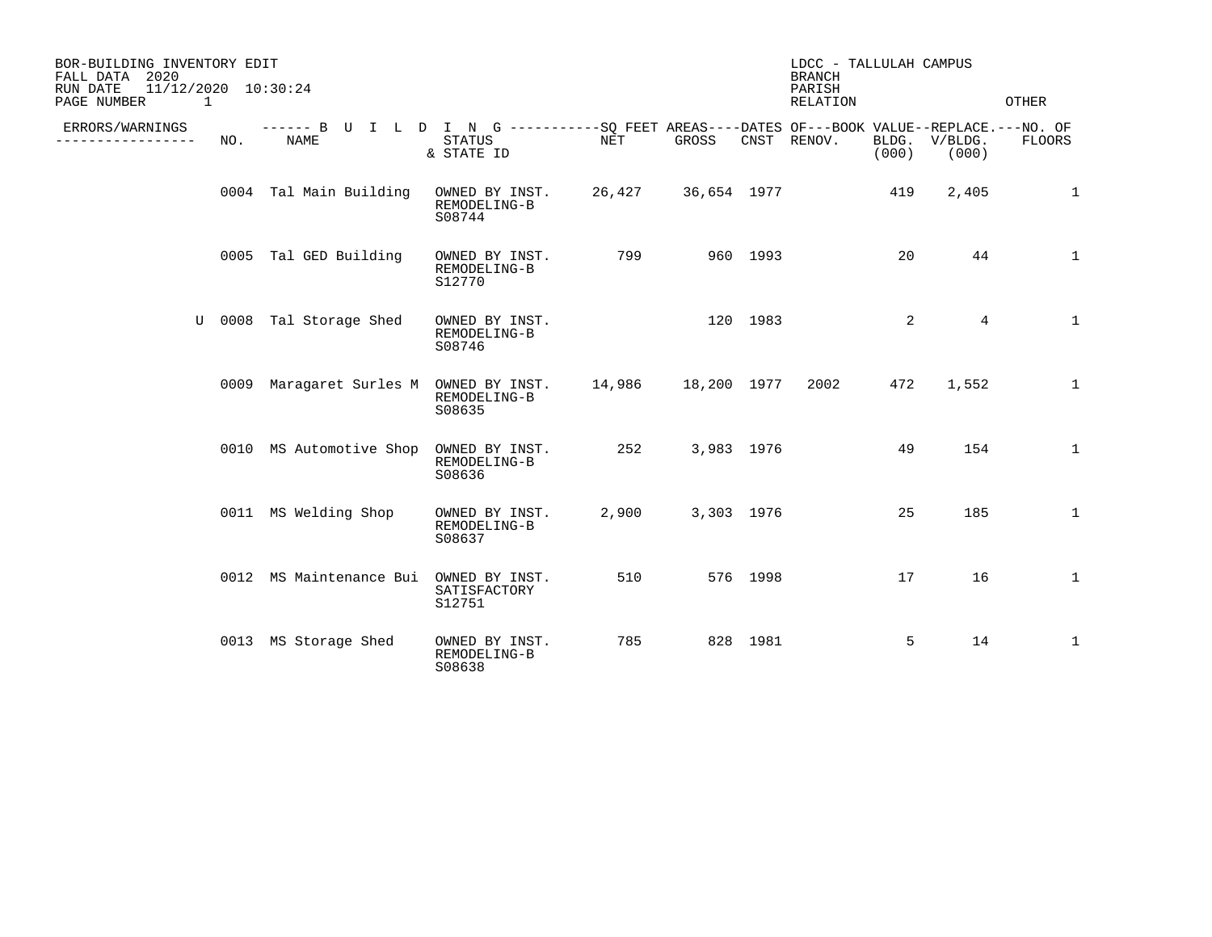| BOR-BUILDING INVENTORY EDIT<br>FALL DATA 2020<br>11/12/2020 10:30:24<br>RUN DATE<br>PAGE NUMBER<br>$\mathbf{1}$ |     |                                                                                                     |                                          |                    |            |          | LDCC - TALLULAH CAMPUS<br><b>BRANCH</b><br>PARISH<br>RELATION |       |                        | OTHER        |
|-----------------------------------------------------------------------------------------------------------------|-----|-----------------------------------------------------------------------------------------------------|------------------------------------------|--------------------|------------|----------|---------------------------------------------------------------|-------|------------------------|--------------|
| ERRORS/WARNINGS<br>-----------                                                                                  | NO. | ------ B U I L D I N G -----------SO FEET AREAS----DATES OF---BOOK VALUE--REPLACE.---NO. OF<br>NAME | STATUS<br>& STATE ID                     | NET                | GROSS      |          | CNST RENOV.                                                   | (000) | BLDG. V/BLDG.<br>(000) | FLOORS       |
|                                                                                                                 |     | 0004 Tal Main Building                                                                              | OWNED BY INST.<br>REMODELING-B<br>S08744 | 26,427 36,654 1977 |            |          |                                                               | 419   | 2,405                  | 1            |
|                                                                                                                 |     | 0005 Tal GED Building                                                                               | OWNED BY INST.<br>REMODELING-B<br>S12770 | 799                |            | 960 1993 |                                                               | 20    | 44                     | 1            |
|                                                                                                                 |     | U 0008 Tal Storage Shed                                                                             | OWNED BY INST.<br>REMODELING-B<br>S08746 |                    | 120 1983   |          |                                                               | 2     | $\overline{4}$         | 1            |
|                                                                                                                 |     | 0009 Maragaret Surles M OWNED BY INST. 14,986 18,200 1977                                           | REMODELING-B<br>S08635                   |                    |            |          | 2002                                                          | 472   | 1,552                  | $\mathbf{1}$ |
|                                                                                                                 |     | 0010 MS Automotive Shop                                                                             | OWNED BY INST.<br>REMODELING-B<br>S08636 | 252                | 3,983 1976 |          |                                                               | 49    | 154                    | $\mathbf{1}$ |
|                                                                                                                 |     | 0011 MS Welding Shop                                                                                | OWNED BY INST.<br>REMODELING-B<br>S08637 | 2,900              | 3,303 1976 |          |                                                               | 25    | 185                    | $\mathbf{1}$ |
|                                                                                                                 |     | 0012 MS Maintenance Bui                                                                             | OWNED BY INST.<br>SATISFACTORY<br>S12751 | 510                |            | 576 1998 |                                                               | 17    | 16                     | 1            |
|                                                                                                                 |     | 0013 MS Storage Shed                                                                                | OWNED BY INST.<br>REMODELING-B<br>S08638 | 785                |            | 828 1981 |                                                               | 5     | 14                     | 1            |